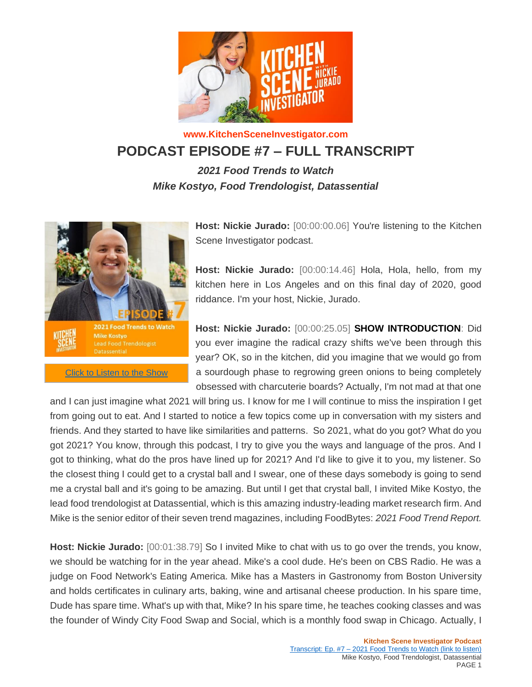

**www.KitchenSceneInvestigator.com PODCAST EPISODE #7 – FULL TRANSCRIPT**

> *2021 Food Trends to Watch Mike Kostyo, Food Trendologist, Datassential*



KITCHEN

2021 Food Trends to Watch

[Click to Listen to the Show](https://mcdn.podbean.com/mf/web/jcwfii/EP_7_2021_Top_Food_Trends_to_Watch_with_Mike_Kostyo_of_Datassentialbsahp.mp3) LLLLi[shttps://mcdn.podbean.com](https://mcdn.podbean.com/mf/web/jcwfii/EP_7_2021_Top_Food_Trends_to_Watch_with_Mike_Kostyo_of_Datassentialbsahp.mp3) **Host: Nickie Jurado:** [00:00:00.06] You're listening to the Kitchen Scene Investigator podcast.

**Host: Nickie Jurado:** [00:00:14.46] Hola, Hola, hello, from my kitchen here in Los Angeles and on this final day of 2020, good riddance. I'm your host, Nickie, Jurado.

**Host: Nickie Jurado:** [00:00:25.05] **SHOW INTRODUCTION**: Did you ever imagine the radical crazy shifts we've been through this year? OK, so in the kitchen, did you imagine that we would go from a sourdough phase to regrowing green onions to being completely obsessed with charcuterie boards? Actually, I'm not mad at that one

and I can just imagine what 2021 will bring us. I know for me I will continue to miss the inspiration I get [from going out to eat. And I star](https://mcdn.podbean.com/mf/web/jcwfii/EP_7_2021_Top_Food_Trends_to_Watch_with_Mike_Kostyo_of_Datassentialbsahp.mp3)ted to notice a few topics come up in conversation with my sisters and friends. And they started to have like similarities and patterns. So 2021, what do you got? What do you [got 2021? You](https://mcdn.podbean.com/mf/web/jcwfii/EP_7_2021_Top_Food_Trends_to_Watch_with_Mike_Kostyo_of_Datassentialbsahp.mp3) know, through this podcast, I try to give you the ways and language of the pros. And I got to thinking, what do the pros have lined up for 2021? And I'd like to give it to you, my listener. So the closest thing I could get to a crystal ball and I swear, one of these days somebody is going to send me a crystal ball and it's going to be amazing. But until I get that crystal ball, I invited Mike Kostyo, the lead food trendologist at Datassential, which is this amazing industry-leading market research firm. And Mike is the senior editor of their seven trend magazines, including FoodBytes: *2021 Food Trend Report.*

**Host: Nickie Jurado:** [00:01:38.79] So I invited Mike to chat with us to go over the trends, you know, we should be watching for in the year ahead. Mike's a cool dude. He's been on CBS Radio. He was a judge on Food Network's Eating America. Mike has a Masters in Gastronomy from Boston University and holds certificates in culinary arts, baking, wine and artisanal cheese production. In his spare time, Dude has spare time. What's up with that, Mike? In his spare time, he teaches cooking classes and was the founder of Windy City Food Swap and Social, which is a monthly food swap in Chicago. Actually, I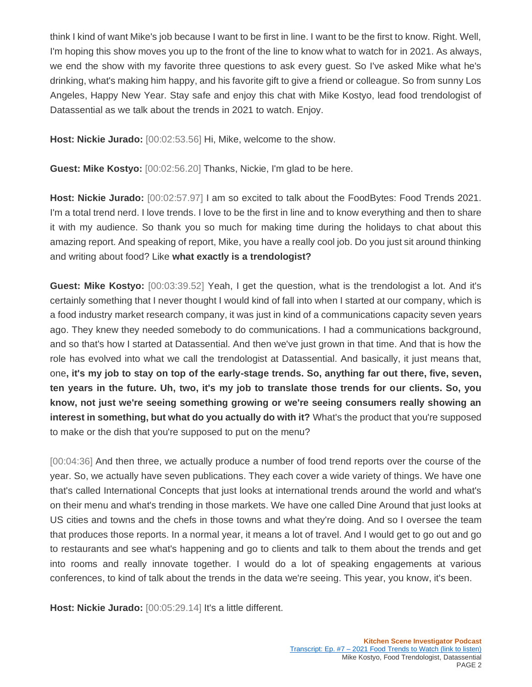think I kind of want Mike's job because I want to be first in line. I want to be the first to know. Right. Well, I'm hoping this show moves you up to the front of the line to know what to watch for in 2021. As always, we end the show with my favorite three questions to ask every guest. So I've asked Mike what he's drinking, what's making him happy, and his favorite gift to give a friend or colleague. So from sunny Los Angeles, Happy New Year. Stay safe and enjoy this chat with Mike Kostyo, lead food trendologist of Datassential as we talk about the trends in 2021 to watch. Enjoy.

**Host: Nickie Jurado:** [00:02:53.56] Hi, Mike, welcome to the show.

**Guest: Mike Kostyo:** [00:02:56.20] Thanks, Nickie, I'm glad to be here.

**Host: Nickie Jurado:** [00:02:57.97] I am so excited to talk about the FoodBytes: Food Trends 2021. I'm a total trend nerd. I love trends. I love to be the first in line and to know everything and then to share it with my audience. So thank you so much for making time during the holidays to chat about this amazing report. And speaking of report, Mike, you have a really cool job. Do you just sit around thinking and writing about food? Like **what exactly is a trendologist?**

**Guest: Mike Kostyo:** [00:03:39.52] Yeah, I get the question, what is the trendologist a lot. And it's certainly something that I never thought I would kind of fall into when I started at our company, which is a food industry market research company, it was just in kind of a communications capacity seven years ago. They knew they needed somebody to do communications. I had a communications background, and so that's how I started at Datassential. And then we've just grown in that time. And that is how the role has evolved into what we call the trendologist at Datassential. And basically, it just means that, one**, it's my job to stay on top of the early-stage trends. So, anything far out there, five, seven, ten years in the future. Uh, two, it's my job to translate those trends for our clients. So, you know, not just we're seeing something growing or we're seeing consumers really showing an interest in something, but what do you actually do with it?** What's the product that you're supposed to make or the dish that you're supposed to put on the menu?

[00:04:36] And then three, we actually produce a number of food trend reports over the course of the year. So, we actually have seven publications. They each cover a wide variety of things. We have one that's called International Concepts that just looks at international trends around the world and what's on their menu and what's trending in those markets. We have one called Dine Around that just looks at US cities and towns and the chefs in those towns and what they're doing. And so I oversee the team that produces those reports. In a normal year, it means a lot of travel. And I would get to go out and go to restaurants and see what's happening and go to clients and talk to them about the trends and get into rooms and really innovate together. I would do a lot of speaking engagements at various conferences, to kind of talk about the trends in the data we're seeing. This year, you know, it's been.

**Host: Nickie Jurado:** [00:05:29.14] It's a little different.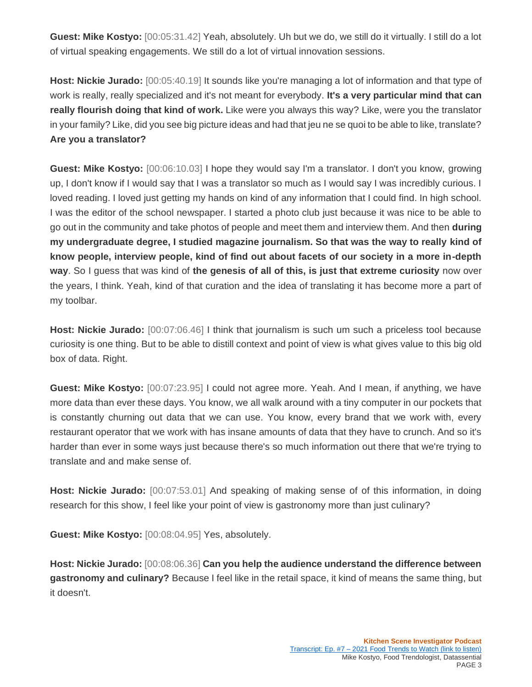**Guest: Mike Kostyo:** [00:05:31.42] Yeah, absolutely. Uh but we do, we still do it virtually. I still do a lot of virtual speaking engagements. We still do a lot of virtual innovation sessions.

**Host: Nickie Jurado:** [00:05:40.19] It sounds like you're managing a lot of information and that type of work is really, really specialized and it's not meant for everybody. **It's a very particular mind that can really flourish doing that kind of work.** Like were you always this way? Like, were you the translator in your family? Like, did you see big picture ideas and had that jeu ne se quoi to be able to like, translate? **Are you a translator?**

**Guest: Mike Kostyo:** [00:06:10.03] I hope they would say I'm a translator. I don't you know, growing up, I don't know if I would say that I was a translator so much as I would say I was incredibly curious. I loved reading. I loved just getting my hands on kind of any information that I could find. In high school. I was the editor of the school newspaper. I started a photo club just because it was nice to be able to go out in the community and take photos of people and meet them and interview them. And then **during my undergraduate degree, I studied magazine journalism. So that was the way to really kind of know people, interview people, kind of find out about facets of our society in a more in-depth way**. So I guess that was kind of **the genesis of all of this, is just that extreme curiosity** now over the years, I think. Yeah, kind of that curation and the idea of translating it has become more a part of my toolbar.

**Host: Nickie Jurado:** [00:07:06.46] I think that journalism is such um such a priceless tool because curiosity is one thing. But to be able to distill context and point of view is what gives value to this big old box of data. Right.

**Guest: Mike Kostyo:** [00:07:23.95] I could not agree more. Yeah. And I mean, if anything, we have more data than ever these days. You know, we all walk around with a tiny computer in our pockets that is constantly churning out data that we can use. You know, every brand that we work with, every restaurant operator that we work with has insane amounts of data that they have to crunch. And so it's harder than ever in some ways just because there's so much information out there that we're trying to translate and and make sense of.

**Host: Nickie Jurado:** [00:07:53.01] And speaking of making sense of of this information, in doing research for this show, I feel like your point of view is gastronomy more than just culinary?

**Guest: Mike Kostyo:** [00:08:04.95] Yes, absolutely.

**Host: Nickie Jurado:** [00:08:06.36] **Can you help the audience understand the difference between gastronomy and culinary?** Because I feel like in the retail space, it kind of means the same thing, but it doesn't.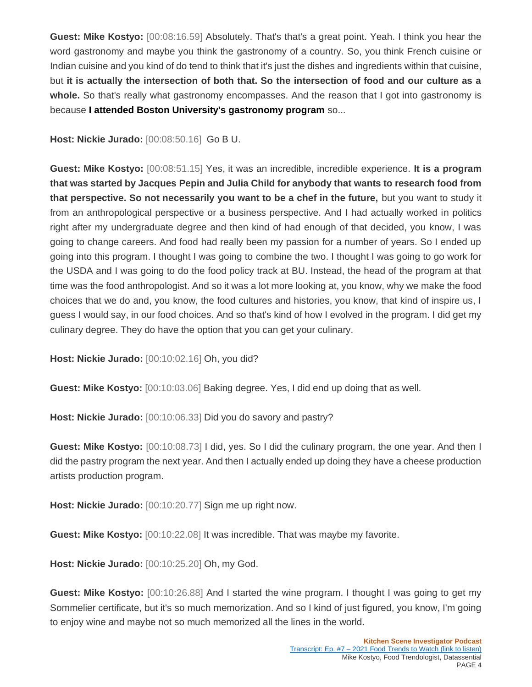**Guest: Mike Kostyo:** [00:08:16.59] Absolutely. That's that's a great point. Yeah. I think you hear the word gastronomy and maybe you think the gastronomy of a country. So, you think French cuisine or Indian cuisine and you kind of do tend to think that it's just the dishes and ingredients within that cuisine, but **it is actually the intersection of both that. So the intersection of food and our culture as a whole.** So that's really what gastronomy encompasses. And the reason that I got into gastronomy is because **I attended Boston University's gastronomy program** so...

**Host: Nickie Jurado:** [00:08:50.16] Go B U.

**Guest: Mike Kostyo:** [00:08:51.15] Yes, it was an incredible, incredible experience. **It is a program that was started by Jacques Pepin and Julia Child for anybody that wants to research food from that perspective. So not necessarily you want to be a chef in the future,** but you want to study it from an anthropological perspective or a business perspective. And I had actually worked in politics right after my undergraduate degree and then kind of had enough of that decided, you know, I was going to change careers. And food had really been my passion for a number of years. So I ended up going into this program. I thought I was going to combine the two. I thought I was going to go work for the USDA and I was going to do the food policy track at BU. Instead, the head of the program at that time was the food anthropologist. And so it was a lot more looking at, you know, why we make the food choices that we do and, you know, the food cultures and histories, you know, that kind of inspire us, I guess I would say, in our food choices. And so that's kind of how I evolved in the program. I did get my culinary degree. They do have the option that you can get your culinary.

**Host: Nickie Jurado:** [00:10:02.16] Oh, you did?

**Guest: Mike Kostyo:** [00:10:03.06] Baking degree. Yes, I did end up doing that as well.

**Host: Nickie Jurado:** [00:10:06.33] Did you do savory and pastry?

**Guest: Mike Kostyo:** [00:10:08.73] I did, yes. So I did the culinary program, the one year. And then I did the pastry program the next year. And then I actually ended up doing they have a cheese production artists production program.

**Host: Nickie Jurado:** [00:10:20.77] Sign me up right now.

**Guest: Mike Kostyo:** [00:10:22.08] It was incredible. That was maybe my favorite.

**Host: Nickie Jurado:** [00:10:25.20] Oh, my God.

**Guest: Mike Kostyo:** [00:10:26.88] And I started the wine program. I thought I was going to get my Sommelier certificate, but it's so much memorization. And so I kind of just figured, you know, I'm going to enjoy wine and maybe not so much memorized all the lines in the world.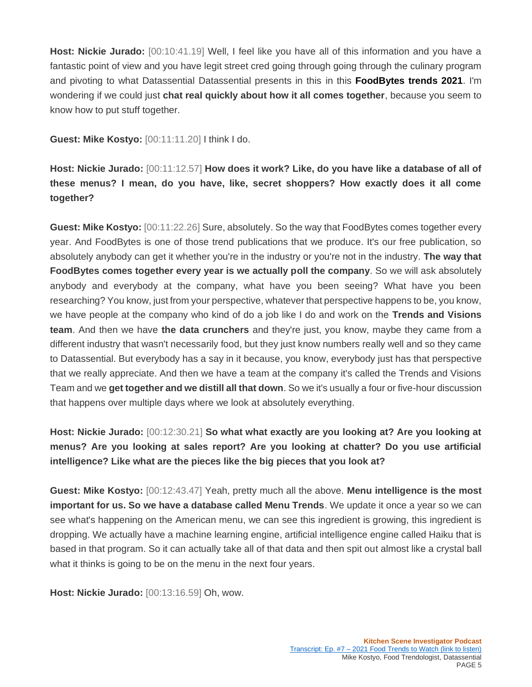**Host: Nickie Jurado:** [00:10:41.19] Well, I feel like you have all of this information and you have a fantastic point of view and you have legit street cred going through going through the culinary program and pivoting to what Datassential Datassential presents in this in this **FoodBytes trends 2021**. I'm wondering if we could just **chat real quickly about how it all comes together**, because you seem to know how to put stuff together.

**Guest: Mike Kostyo:** [00:11:11.20] I think I do.

**Host: Nickie Jurado:** [00:11:12.57] **How does it work? Like, do you have like a database of all of these menus? I mean, do you have, like, secret shoppers? How exactly does it all come together?**

**Guest: Mike Kostyo:** [00:11:22.26] Sure, absolutely. So the way that FoodBytes comes together every year. And FoodBytes is one of those trend publications that we produce. It's our free publication, so absolutely anybody can get it whether you're in the industry or you're not in the industry. **The way that FoodBytes comes together every year is we actually poll the company**. So we will ask absolutely anybody and everybody at the company, what have you been seeing? What have you been researching? You know, just from your perspective, whatever that perspective happens to be, you know, we have people at the company who kind of do a job like I do and work on the **Trends and Visions team**. And then we have **the data crunchers** and they're just, you know, maybe they came from a different industry that wasn't necessarily food, but they just know numbers really well and so they came to Datassential. But everybody has a say in it because, you know, everybody just has that perspective that we really appreciate. And then we have a team at the company it's called the Trends and Visions Team and we **get together and we distill all that down**. So we it's usually a four or five-hour discussion that happens over multiple days where we look at absolutely everything.

**Host: Nickie Jurado:** [00:12:30.21] **So what what exactly are you looking at? Are you looking at menus? Are you looking at sales report? Are you looking at chatter? Do you use artificial intelligence? Like what are the pieces like the big pieces that you look at?**

**Guest: Mike Kostyo:** [00:12:43.47] Yeah, pretty much all the above. **Menu intelligence is the most important for us. So we have a database called Menu Trends**. We update it once a year so we can see what's happening on the American menu, we can see this ingredient is growing, this ingredient is dropping. We actually have a machine learning engine, artificial intelligence engine called Haiku that is based in that program. So it can actually take all of that data and then spit out almost like a crystal ball what it thinks is going to be on the menu in the next four years.

**Host: Nickie Jurado:** [00:13:16.59] Oh, wow.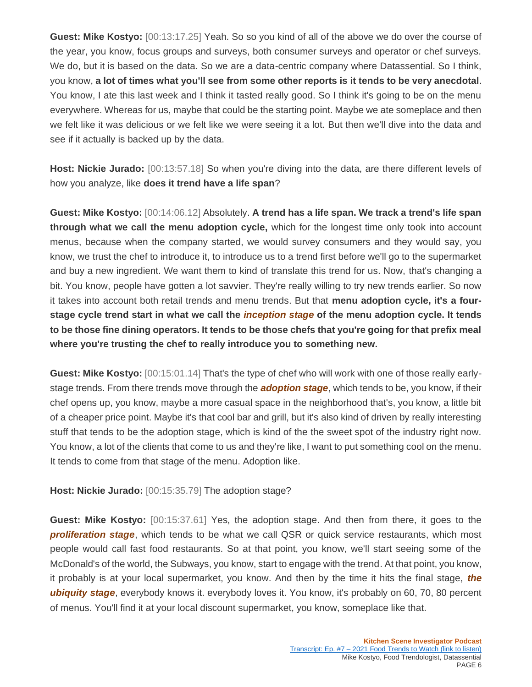**Guest: Mike Kostyo:** [00:13:17.25] Yeah. So so you kind of all of the above we do over the course of the year, you know, focus groups and surveys, both consumer surveys and operator or chef surveys. We do, but it is based on the data. So we are a data-centric company where Datassential. So I think, you know, **a lot of times what you'll see from some other reports is it tends to be very anecdotal**. You know, I ate this last week and I think it tasted really good. So I think it's going to be on the menu everywhere. Whereas for us, maybe that could be the starting point. Maybe we ate someplace and then we felt like it was delicious or we felt like we were seeing it a lot. But then we'll dive into the data and see if it actually is backed up by the data.

**Host: Nickie Jurado:** [00:13:57.18] So when you're diving into the data, are there different levels of how you analyze, like **does it trend have a life span**?

**Guest: Mike Kostyo:** [00:14:06.12] Absolutely. **A trend has a life span. We track a trend's life span through what we call the menu adoption cycle,** which for the longest time only took into account menus, because when the company started, we would survey consumers and they would say, you know, we trust the chef to introduce it, to introduce us to a trend first before we'll go to the supermarket and buy a new ingredient. We want them to kind of translate this trend for us. Now, that's changing a bit. You know, people have gotten a lot savvier. They're really willing to try new trends earlier. So now it takes into account both retail trends and menu trends. But that **menu adoption cycle, it's a fourstage cycle trend start in what we call the** *inception stage* **of the menu adoption cycle. It tends to be those fine dining operators. It tends to be those chefs that you're going for that prefix meal where you're trusting the chef to really introduce you to something new.**

**Guest: Mike Kostyo:** [00:15:01.14] That's the type of chef who will work with one of those really earlystage trends. From there trends move through the *adoption stage*, which tends to be, you know, if their chef opens up, you know, maybe a more casual space in the neighborhood that's, you know, a little bit of a cheaper price point. Maybe it's that cool bar and grill, but it's also kind of driven by really interesting stuff that tends to be the adoption stage, which is kind of the the sweet spot of the industry right now. You know, a lot of the clients that come to us and they're like, I want to put something cool on the menu. It tends to come from that stage of the menu. Adoption like.

**Host: Nickie Jurado:** [00:15:35.79] The adoption stage?

**Guest: Mike Kostyo:** [00:15:37.61] Yes, the adoption stage. And then from there, it goes to the **proliferation stage**, which tends to be what we call QSR or quick service restaurants, which most people would call fast food restaurants. So at that point, you know, we'll start seeing some of the McDonald's of the world, the Subways, you know, start to engage with the trend. At that point, you know, it probably is at your local supermarket, you know. And then by the time it hits the final stage, *the ubiquity stage*, everybody knows it. everybody loves it. You know, it's probably on 60, 70, 80 percent of menus. You'll find it at your local discount supermarket, you know, someplace like that.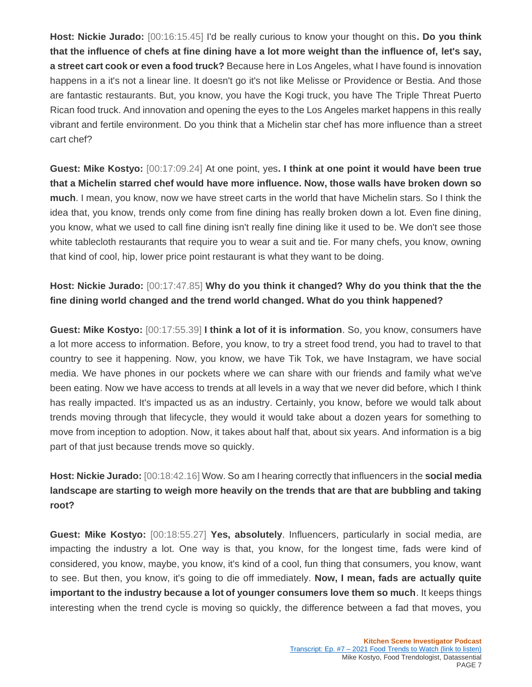**Host: Nickie Jurado:** [00:16:15.45] I'd be really curious to know your thought on this**. Do you think that the influence of chefs at fine dining have a lot more weight than the influence of, let's say, a street cart cook or even a food truck?** Because here in Los Angeles, what I have found is innovation happens in a it's not a linear line. It doesn't go it's not like Melisse or Providence or Bestia. And those are fantastic restaurants. But, you know, you have the Kogi truck, you have The Triple Threat Puerto Rican food truck. And innovation and opening the eyes to the Los Angeles market happens in this really vibrant and fertile environment. Do you think that a Michelin star chef has more influence than a street cart chef?

**Guest: Mike Kostyo:** [00:17:09.24] At one point, yes**. I think at one point it would have been true that a Michelin starred chef would have more influence. Now, those walls have broken down so much**. I mean, you know, now we have street carts in the world that have Michelin stars. So I think the idea that, you know, trends only come from fine dining has really broken down a lot. Even fine dining, you know, what we used to call fine dining isn't really fine dining like it used to be. We don't see those white tablecloth restaurants that require you to wear a suit and tie. For many chefs, you know, owning that kind of cool, hip, lower price point restaurant is what they want to be doing.

## **Host: Nickie Jurado:** [00:17:47.85] **Why do you think it changed? Why do you think that the the fine dining world changed and the trend world changed. What do you think happened?**

**Guest: Mike Kostyo:** [00:17:55.39] **I think a lot of it is information**. So, you know, consumers have a lot more access to information. Before, you know, to try a street food trend, you had to travel to that country to see it happening. Now, you know, we have Tik Tok, we have Instagram, we have social media. We have phones in our pockets where we can share with our friends and family what we've been eating. Now we have access to trends at all levels in a way that we never did before, which I think has really impacted. It's impacted us as an industry. Certainly, you know, before we would talk about trends moving through that lifecycle, they would it would take about a dozen years for something to move from inception to adoption. Now, it takes about half that, about six years. And information is a big part of that just because trends move so quickly.

# **Host: Nickie Jurado:** [00:18:42.16] Wow. So am I hearing correctly that influencers in the **social media landscape are starting to weigh more heavily on the trends that are that are bubbling and taking root?**

**Guest: Mike Kostyo:** [00:18:55.27] **Yes, absolutely**. Influencers, particularly in social media, are impacting the industry a lot. One way is that, you know, for the longest time, fads were kind of considered, you know, maybe, you know, it's kind of a cool, fun thing that consumers, you know, want to see. But then, you know, it's going to die off immediately. **Now, I mean, fads are actually quite important to the industry because a lot of younger consumers love them so much**. It keeps things interesting when the trend cycle is moving so quickly, the difference between a fad that moves, you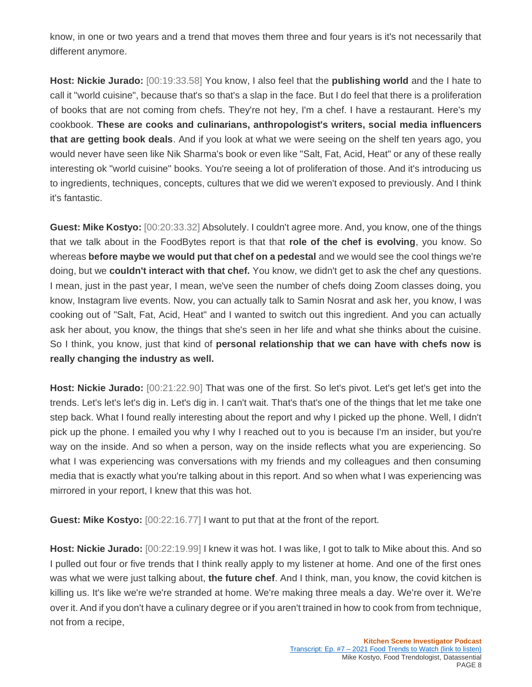know, in one or two years and a trend that moves them three and four years is it's not necessarily that different anymore.

**Host: Nickie Jurado:** [00:19:33.58] You know, I also feel that the **publishing world** and the I hate to call it "world cuisine", because that's so that's a slap in the face. But I do feel that there is a proliferation of books that are not coming from chefs. They're not hey, I'm a chef. I have a restaurant. Here's my cookbook. **These are cooks and culinarians, anthropologist's writers, social media influencers that are getting book deals**. And if you look at what we were seeing on the shelf ten years ago, you would never have seen like Nik Sharma's book or even like "Salt, Fat, Acid, Heat" or any of these really interesting ok "world cuisine" books. You're seeing a lot of proliferation of those. And it's introducing us to ingredients, techniques, concepts, cultures that we did we weren't exposed to previously. And I think it's fantastic.

**Guest: Mike Kostyo:** [00:20:33.32] Absolutely. I couldn't agree more. And, you know, one of the things that we talk about in the FoodBytes report is that that **role of the chef is evolving**, you know. So whereas **before maybe we would put that chef on a pedestal** and we would see the cool things we're doing, but we **couldn't interact with that chef.** You know, we didn't get to ask the chef any questions. I mean, just in the past year, I mean, we've seen the number of chefs doing Zoom classes doing, you know, Instagram live events. Now, you can actually talk to Samin Nosrat and ask her, you know, I was cooking out of "Salt, Fat, Acid, Heat" and I wanted to switch out this ingredient. And you can actually ask her about, you know, the things that she's seen in her life and what she thinks about the cuisine. So I think, you know, just that kind of **personal relationship that we can have with chefs now is really changing the industry as well.**

**Host: Nickie Jurado:** [00:21:22.90] That was one of the first. So let's pivot. Let's get let's get into the trends. Let's let's let's dig in. Let's dig in. I can't wait. That's that's one of the things that let me take one step back. What I found really interesting about the report and why I picked up the phone. Well, I didn't pick up the phone. I emailed you why I why I reached out to you is because I'm an insider, but you're way on the inside. And so when a person, way on the inside reflects what you are experiencing. So what I was experiencing was conversations with my friends and my colleagues and then consuming media that is exactly what you're talking about in this report. And so when what I was experiencing was mirrored in your report, I knew that this was hot.

**Guest: Mike Kostyo:** [00:22:16.77] I want to put that at the front of the report.

**Host: Nickie Jurado:** [00:22:19.99] I knew it was hot. I was like, I got to talk to Mike about this. And so I pulled out four or five trends that I think really apply to my listener at home. And one of the first ones was what we were just talking about, **the future chef**. And I think, man, you know, the covid kitchen is killing us. It's like we're we're stranded at home. We're making three meals a day. We're over it. We're over it. And if you don't have a culinary degree or if you aren't trained in how to cook from from technique, not from a recipe,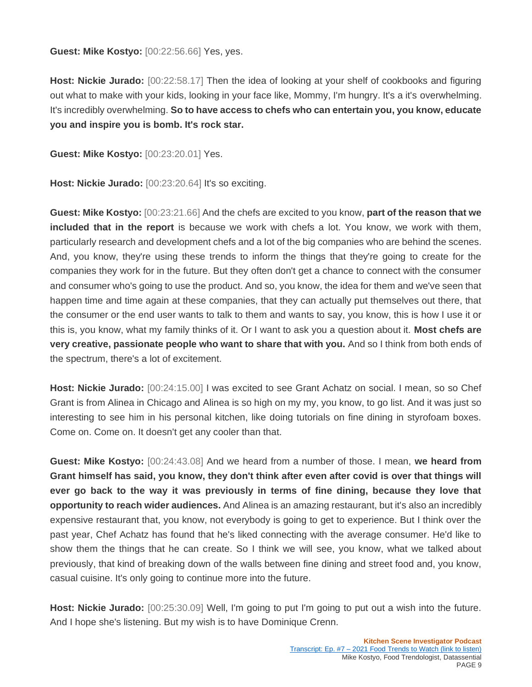**Guest: Mike Kostyo:** [00:22:56.66] Yes, yes.

**Host: Nickie Jurado:** [00:22:58.17] Then the idea of looking at your shelf of cookbooks and figuring out what to make with your kids, looking in your face like, Mommy, I'm hungry. It's a it's overwhelming. It's incredibly overwhelming. **So to have access to chefs who can entertain you, you know, educate you and inspire you is bomb. It's rock star.**

**Guest: Mike Kostyo:** [00:23:20.01] Yes.

**Host: Nickie Jurado:** [00:23:20.64] It's so exciting.

**Guest: Mike Kostyo:** [00:23:21.66] And the chefs are excited to you know, **part of the reason that we included that in the report** is because we work with chefs a lot. You know, we work with them, particularly research and development chefs and a lot of the big companies who are behind the scenes. And, you know, they're using these trends to inform the things that they're going to create for the companies they work for in the future. But they often don't get a chance to connect with the consumer and consumer who's going to use the product. And so, you know, the idea for them and we've seen that happen time and time again at these companies, that they can actually put themselves out there, that the consumer or the end user wants to talk to them and wants to say, you know, this is how I use it or this is, you know, what my family thinks of it. Or I want to ask you a question about it. **Most chefs are very creative, passionate people who want to share that with you.** And so I think from both ends of the spectrum, there's a lot of excitement.

**Host: Nickie Jurado:** [00:24:15.00] I was excited to see Grant Achatz on social. I mean, so so Chef Grant is from Alinea in Chicago and Alinea is so high on my my, you know, to go list. And it was just so interesting to see him in his personal kitchen, like doing tutorials on fine dining in styrofoam boxes. Come on. Come on. It doesn't get any cooler than that.

**Guest: Mike Kostyo:** [00:24:43.08] And we heard from a number of those. I mean, **we heard from Grant himself has said, you know, they don't think after even after covid is over that things will ever go back to the way it was previously in terms of fine dining, because they love that opportunity to reach wider audiences.** And Alinea is an amazing restaurant, but it's also an incredibly expensive restaurant that, you know, not everybody is going to get to experience. But I think over the past year, Chef Achatz has found that he's liked connecting with the average consumer. He'd like to show them the things that he can create. So I think we will see, you know, what we talked about previously, that kind of breaking down of the walls between fine dining and street food and, you know, casual cuisine. It's only going to continue more into the future.

**Host: Nickie Jurado:** [00:25:30.09] Well, I'm going to put I'm going to put out a wish into the future. And I hope she's listening. But my wish is to have Dominique Crenn.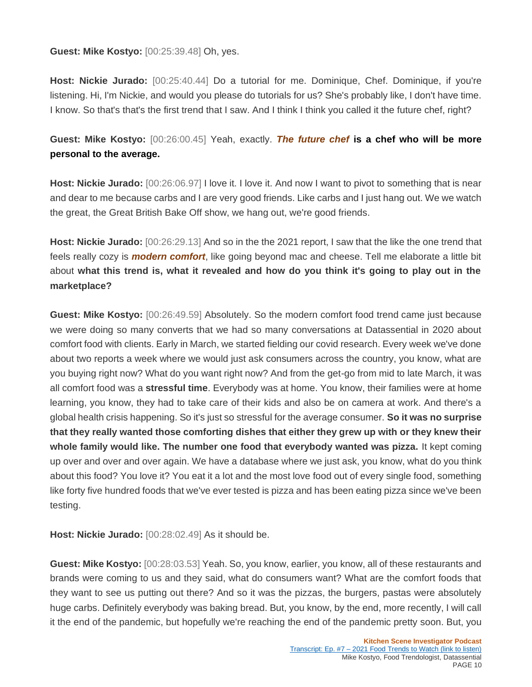**Guest: Mike Kostyo:** [00:25:39.48] Oh, yes.

**Host: Nickie Jurado:** [00:25:40.44] Do a tutorial for me. Dominique, Chef. Dominique, if you're listening. Hi, I'm Nickie, and would you please do tutorials for us? She's probably like, I don't have time. I know. So that's that's the first trend that I saw. And I think I think you called it the future chef, right?

## **Guest: Mike Kostyo:** [00:26:00.45] Yeah, exactly. *The future chef* **is a chef who will be more personal to the average.**

**Host: Nickie Jurado:** [00:26:06.97] I love it. I love it. And now I want to pivot to something that is near and dear to me because carbs and I are very good friends. Like carbs and I just hang out. We we watch the great, the Great British Bake Off show, we hang out, we're good friends.

**Host: Nickie Jurado:** [00:26:29.13] And so in the the 2021 report, I saw that the like the one trend that feels really cozy is *modern comfort*, like going beyond mac and cheese. Tell me elaborate a little bit about **what this trend is, what it revealed and how do you think it's going to play out in the marketplace?**

**Guest: Mike Kostyo:** [00:26:49.59] Absolutely. So the modern comfort food trend came just because we were doing so many converts that we had so many conversations at Datassential in 2020 about comfort food with clients. Early in March, we started fielding our covid research. Every week we've done about two reports a week where we would just ask consumers across the country, you know, what are you buying right now? What do you want right now? And from the get-go from mid to late March, it was all comfort food was a **stressful time**. Everybody was at home. You know, their families were at home learning, you know, they had to take care of their kids and also be on camera at work. And there's a global health crisis happening. So it's just so stressful for the average consumer. **So it was no surprise that they really wanted those comforting dishes that either they grew up with or they knew their whole family would like. The number one food that everybody wanted was pizza.** It kept coming up over and over and over again. We have a database where we just ask, you know, what do you think about this food? You love it? You eat it a lot and the most love food out of every single food, something like forty five hundred foods that we've ever tested is pizza and has been eating pizza since we've been testing.

**Host: Nickie Jurado:** [00:28:02.49] As it should be.

**Guest: Mike Kostyo:** [00:28:03.53] Yeah. So, you know, earlier, you know, all of these restaurants and brands were coming to us and they said, what do consumers want? What are the comfort foods that they want to see us putting out there? And so it was the pizzas, the burgers, pastas were absolutely huge carbs. Definitely everybody was baking bread. But, you know, by the end, more recently, I will call it the end of the pandemic, but hopefully we're reaching the end of the pandemic pretty soon. But, you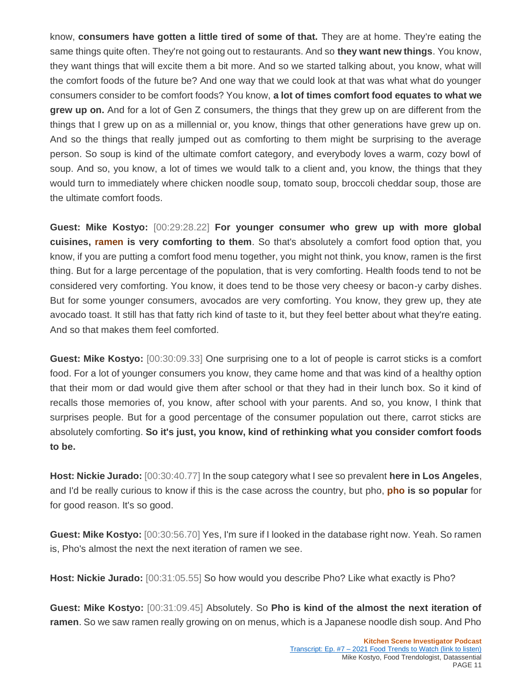know, **consumers have gotten a little tired of some of that.** They are at home. They're eating the same things quite often. They're not going out to restaurants. And so **they want new things**. You know, they want things that will excite them a bit more. And so we started talking about, you know, what will the comfort foods of the future be? And one way that we could look at that was what what do younger consumers consider to be comfort foods? You know, **a lot of times comfort food equates to what we grew up on.** And for a lot of Gen Z consumers, the things that they grew up on are different from the things that I grew up on as a millennial or, you know, things that other generations have grew up on. And so the things that really jumped out as comforting to them might be surprising to the average person. So soup is kind of the ultimate comfort category, and everybody loves a warm, cozy bowl of soup. And so, you know, a lot of times we would talk to a client and, you know, the things that they would turn to immediately where chicken noodle soup, tomato soup, broccoli cheddar soup, those are the ultimate comfort foods.

**Guest: Mike Kostyo:** [00:29:28.22] **For younger consumer who grew up with more global cuisines, ramen is very comforting to them**. So that's absolutely a comfort food option that, you know, if you are putting a comfort food menu together, you might not think, you know, ramen is the first thing. But for a large percentage of the population, that is very comforting. Health foods tend to not be considered very comforting. You know, it does tend to be those very cheesy or bacon-y carby dishes. But for some younger consumers, avocados are very comforting. You know, they grew up, they ate avocado toast. It still has that fatty rich kind of taste to it, but they feel better about what they're eating. And so that makes them feel comforted.

**Guest: Mike Kostyo:** [00:30:09.33] One surprising one to a lot of people is carrot sticks is a comfort food. For a lot of younger consumers you know, they came home and that was kind of a healthy option that their mom or dad would give them after school or that they had in their lunch box. So it kind of recalls those memories of, you know, after school with your parents. And so, you know, I think that surprises people. But for a good percentage of the consumer population out there, carrot sticks are absolutely comforting. **So it's just, you know, kind of rethinking what you consider comfort foods to be.**

**Host: Nickie Jurado:** [00:30:40.77] In the soup category what I see so prevalent **here in Los Angeles**, and I'd be really curious to know if this is the case across the country, but pho, **pho is so popular** for for good reason. It's so good.

**Guest: Mike Kostyo:** [00:30:56.70] Yes, I'm sure if I looked in the database right now. Yeah. So ramen is, Pho's almost the next the next iteration of ramen we see.

**Host: Nickie Jurado:** [00:31:05.55] So how would you describe Pho? Like what exactly is Pho?

**Guest: Mike Kostyo:** [00:31:09.45] Absolutely. So **Pho is kind of the almost the next iteration of ramen**. So we saw ramen really growing on on menus, which is a Japanese noodle dish soup. And Pho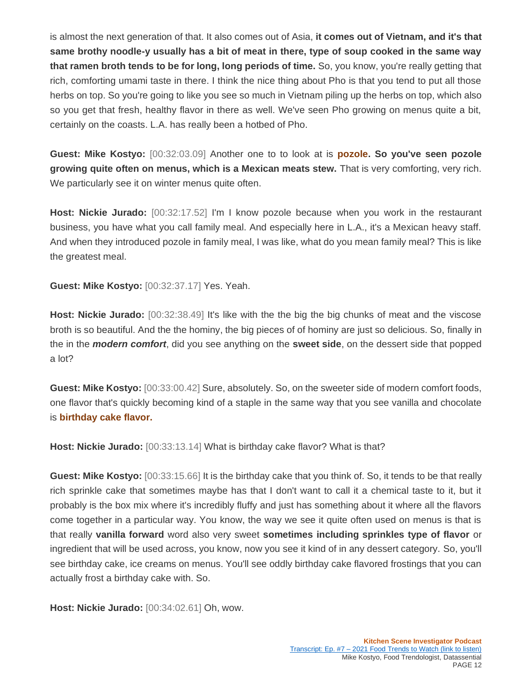is almost the next generation of that. It also comes out of Asia, **it comes out of Vietnam, and it's that same brothy noodle-y usually has a bit of meat in there, type of soup cooked in the same way that ramen broth tends to be for long, long periods of time.** So, you know, you're really getting that rich, comforting umami taste in there. I think the nice thing about Pho is that you tend to put all those herbs on top. So you're going to like you see so much in Vietnam piling up the herbs on top, which also so you get that fresh, healthy flavor in there as well. We've seen Pho growing on menus quite a bit, certainly on the coasts. L.A. has really been a hotbed of Pho.

**Guest: Mike Kostyo:** [00:32:03.09] Another one to to look at is **pozole. So you've seen pozole growing quite often on menus, which is a Mexican meats stew.** That is very comforting, very rich. We particularly see it on winter menus quite often.

**Host: Nickie Jurado:** [00:32:17.52] I'm I know pozole because when you work in the restaurant business, you have what you call family meal. And especially here in L.A., it's a Mexican heavy staff. And when they introduced pozole in family meal, I was like, what do you mean family meal? This is like the greatest meal.

**Guest: Mike Kostyo:** [00:32:37.17] Yes. Yeah.

**Host: Nickie Jurado:** [00:32:38.49] It's like with the the big the big chunks of meat and the viscose broth is so beautiful. And the the hominy, the big pieces of of hominy are just so delicious. So, finally in the in the *modern comfort*, did you see anything on the **sweet side**, on the dessert side that popped a lot?

**Guest: Mike Kostyo:** [00:33:00.42] Sure, absolutely. So, on the sweeter side of modern comfort foods, one flavor that's quickly becoming kind of a staple in the same way that you see vanilla and chocolate is **birthday cake flavor.**

**Host: Nickie Jurado:** [00:33:13.14] What is birthday cake flavor? What is that?

**Guest: Mike Kostyo:** [00:33:15.66] It is the birthday cake that you think of. So, it tends to be that really rich sprinkle cake that sometimes maybe has that I don't want to call it a chemical taste to it, but it probably is the box mix where it's incredibly fluffy and just has something about it where all the flavors come together in a particular way. You know, the way we see it quite often used on menus is that is that really **vanilla forward** word also very sweet **sometimes including sprinkles type of flavor** or ingredient that will be used across, you know, now you see it kind of in any dessert category. So, you'll see birthday cake, ice creams on menus. You'll see oddly birthday cake flavored frostings that you can actually frost a birthday cake with. So.

**Host: Nickie Jurado:** [00:34:02.61] Oh, wow.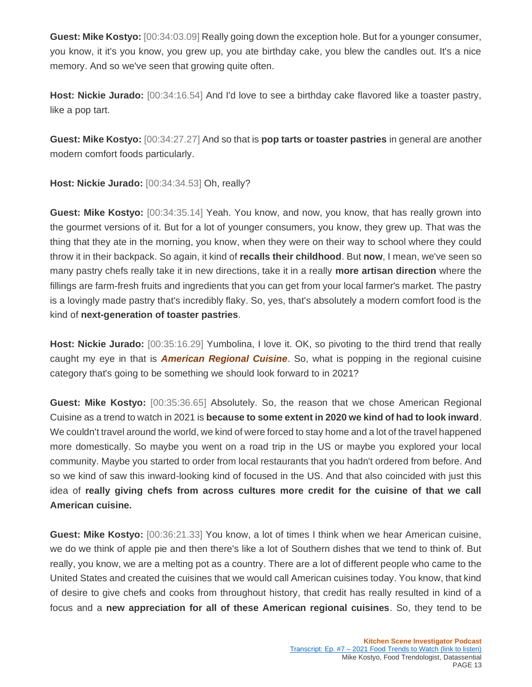**Guest: Mike Kostyo:** [00:34:03.09] Really going down the exception hole. But for a younger consumer, you know, it it's you know, you grew up, you ate birthday cake, you blew the candles out. It's a nice memory. And so we've seen that growing quite often.

**Host: Nickie Jurado:** [00:34:16.54] And I'd love to see a birthday cake flavored like a toaster pastry, like a pop tart.

**Guest: Mike Kostyo:** [00:34:27.27] And so that is **pop tarts or toaster pastries** in general are another modern comfort foods particularly.

**Host: Nickie Jurado:** [00:34:34.53] Oh, really?

**Guest: Mike Kostyo:** [00:34:35.14] Yeah. You know, and now, you know, that has really grown into the gourmet versions of it. But for a lot of younger consumers, you know, they grew up. That was the thing that they ate in the morning, you know, when they were on their way to school where they could throw it in their backpack. So again, it kind of **recalls their childhood**. But **now**, I mean, we've seen so many pastry chefs really take it in new directions, take it in a really **more artisan direction** where the fillings are farm-fresh fruits and ingredients that you can get from your local farmer's market. The pastry is a lovingly made pastry that's incredibly flaky. So, yes, that's absolutely a modern comfort food is the kind of **next-generation of toaster pastries**.

**Host: Nickie Jurado:** [00:35:16.29] Yumbolina, I love it. OK, so pivoting to the third trend that really caught my eye in that is *American Regional Cuisine*. So, what is popping in the regional cuisine category that's going to be something we should look forward to in 2021?

**Guest: Mike Kostyo:** [00:35:36.65] Absolutely. So, the reason that we chose American Regional Cuisine as a trend to watch in 2021 is **because to some extent in 2020 we kind of had to look inward**. We couldn't travel around the world, we kind of were forced to stay home and a lot of the travel happened more domestically. So maybe you went on a road trip in the US or maybe you explored your local community. Maybe you started to order from local restaurants that you hadn't ordered from before. And so we kind of saw this inward-looking kind of focused in the US. And that also coincided with just this idea of **really giving chefs from across cultures more credit for the cuisine of that we call American cuisine.**

**Guest: Mike Kostyo:** [00:36:21.33] You know, a lot of times I think when we hear American cuisine, we do we think of apple pie and then there's like a lot of Southern dishes that we tend to think of. But really, you know, we are a melting pot as a country. There are a lot of different people who came to the United States and created the cuisines that we would call American cuisines today. You know, that kind of desire to give chefs and cooks from throughout history, that credit has really resulted in kind of a focus and a **new appreciation for all of these American regional cuisines**. So, they tend to be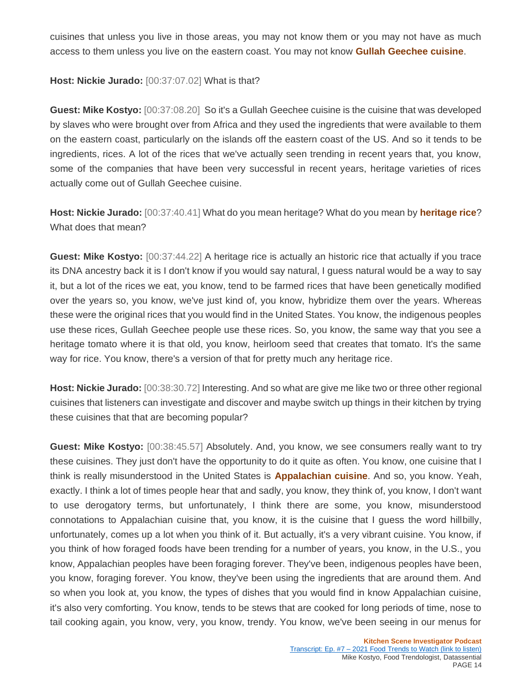cuisines that unless you live in those areas, you may not know them or you may not have as much access to them unless you live on the eastern coast. You may not know **Gullah Geechee cuisine**.

#### **Host: Nickie Jurado:** [00:37:07.02] What is that?

**Guest: Mike Kostyo:** [00:37:08.20] So it's a Gullah Geechee cuisine is the cuisine that was developed by slaves who were brought over from Africa and they used the ingredients that were available to them on the eastern coast, particularly on the islands off the eastern coast of the US. And so it tends to be ingredients, rices. A lot of the rices that we've actually seen trending in recent years that, you know, some of the companies that have been very successful in recent years, heritage varieties of rices actually come out of Gullah Geechee cuisine.

**Host: Nickie Jurado:** [00:37:40.41] What do you mean heritage? What do you mean by **heritage rice**? What does that mean?

**Guest: Mike Kostyo:** [00:37:44.22] A heritage rice is actually an historic rice that actually if you trace its DNA ancestry back it is I don't know if you would say natural, I guess natural would be a way to say it, but a lot of the rices we eat, you know, tend to be farmed rices that have been genetically modified over the years so, you know, we've just kind of, you know, hybridize them over the years. Whereas these were the original rices that you would find in the United States. You know, the indigenous peoples use these rices, Gullah Geechee people use these rices. So, you know, the same way that you see a heritage tomato where it is that old, you know, heirloom seed that creates that tomato. It's the same way for rice. You know, there's a version of that for pretty much any heritage rice.

**Host: Nickie Jurado:** [00:38:30.72] Interesting. And so what are give me like two or three other regional cuisines that listeners can investigate and discover and maybe switch up things in their kitchen by trying these cuisines that that are becoming popular?

**Guest: Mike Kostyo:** [00:38:45.57] Absolutely. And, you know, we see consumers really want to try these cuisines. They just don't have the opportunity to do it quite as often. You know, one cuisine that I think is really misunderstood in the United States is **Appalachian cuisine**. And so, you know. Yeah, exactly. I think a lot of times people hear that and sadly, you know, they think of, you know, I don't want to use derogatory terms, but unfortunately, I think there are some, you know, misunderstood connotations to Appalachian cuisine that, you know, it is the cuisine that I guess the word hillbilly, unfortunately, comes up a lot when you think of it. But actually, it's a very vibrant cuisine. You know, if you think of how foraged foods have been trending for a number of years, you know, in the U.S., you know, Appalachian peoples have been foraging forever. They've been, indigenous peoples have been, you know, foraging forever. You know, they've been using the ingredients that are around them. And so when you look at, you know, the types of dishes that you would find in know Appalachian cuisine, it's also very comforting. You know, tends to be stews that are cooked for long periods of time, nose to tail cooking again, you know, very, you know, trendy. You know, we've been seeing in our menus for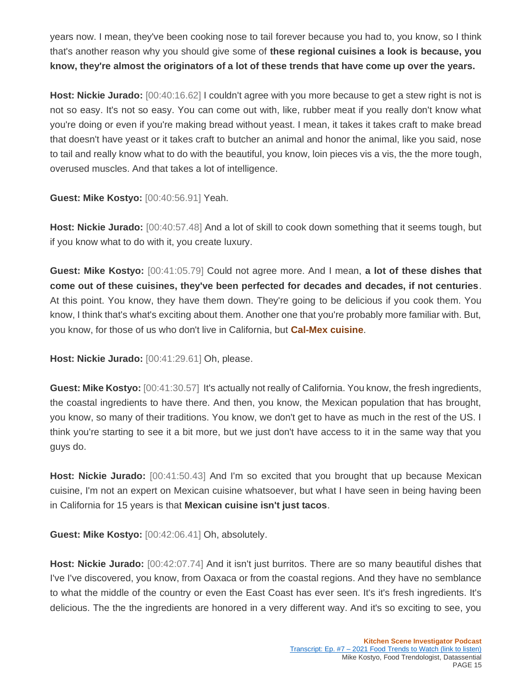years now. I mean, they've been cooking nose to tail forever because you had to, you know, so I think that's another reason why you should give some of **these regional cuisines a look is because, you know, they're almost the originators of a lot of these trends that have come up over the years.**

**Host: Nickie Jurado:** [00:40:16.62] I couldn't agree with you more because to get a stew right is not is not so easy. It's not so easy. You can come out with, like, rubber meat if you really don't know what you're doing or even if you're making bread without yeast. I mean, it takes it takes craft to make bread that doesn't have yeast or it takes craft to butcher an animal and honor the animal, like you said, nose to tail and really know what to do with the beautiful, you know, loin pieces vis a vis, the the more tough, overused muscles. And that takes a lot of intelligence.

**Guest: Mike Kostyo:** [00:40:56.91] Yeah.

**Host: Nickie Jurado:** [00:40:57.48] And a lot of skill to cook down something that it seems tough, but if you know what to do with it, you create luxury.

**Guest: Mike Kostyo:** [00:41:05.79] Could not agree more. And I mean, **a lot of these dishes that come out of these cuisines, they've been perfected for decades and decades, if not centuries**. At this point. You know, they have them down. They're going to be delicious if you cook them. You know, I think that's what's exciting about them. Another one that you're probably more familiar with. But, you know, for those of us who don't live in California, but **Cal-Mex cuisine**.

**Host: Nickie Jurado:** [00:41:29.61] Oh, please.

**Guest: Mike Kostyo:** [00:41:30.57] It's actually not really of California. You know, the fresh ingredients, the coastal ingredients to have there. And then, you know, the Mexican population that has brought, you know, so many of their traditions. You know, we don't get to have as much in the rest of the US. I think you're starting to see it a bit more, but we just don't have access to it in the same way that you guys do.

**Host: Nickie Jurado:** [00:41:50.43] And I'm so excited that you brought that up because Mexican cuisine, I'm not an expert on Mexican cuisine whatsoever, but what I have seen in being having been in California for 15 years is that **Mexican cuisine isn't just tacos**.

**Guest: Mike Kostyo:** [00:42:06.41] Oh, absolutely.

**Host: Nickie Jurado:** [00:42:07.74] And it isn't just burritos. There are so many beautiful dishes that I've I've discovered, you know, from Oaxaca or from the coastal regions. And they have no semblance to what the middle of the country or even the East Coast has ever seen. It's it's fresh ingredients. It's delicious. The the the ingredients are honored in a very different way. And it's so exciting to see, you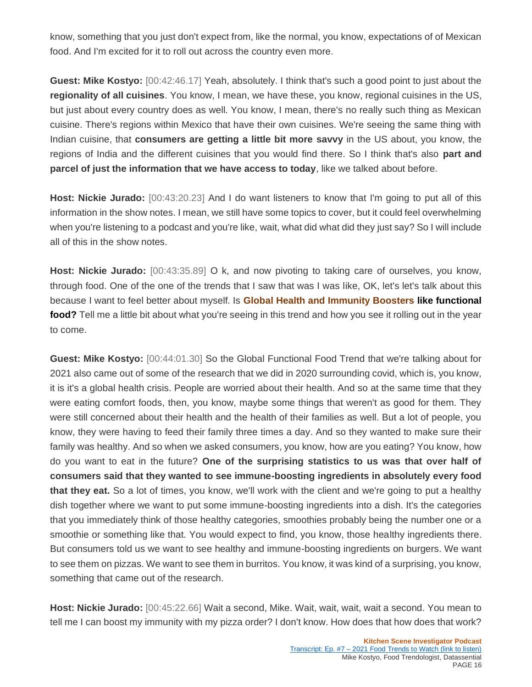know, something that you just don't expect from, like the normal, you know, expectations of of Mexican food. And I'm excited for it to roll out across the country even more.

**Guest: Mike Kostyo:** [00:42:46.17] Yeah, absolutely. I think that's such a good point to just about the **regionality of all cuisines**. You know, I mean, we have these, you know, regional cuisines in the US, but just about every country does as well. You know, I mean, there's no really such thing as Mexican cuisine. There's regions within Mexico that have their own cuisines. We're seeing the same thing with Indian cuisine, that **consumers are getting a little bit more savvy** in the US about, you know, the regions of India and the different cuisines that you would find there. So I think that's also **part and parcel of just the information that we have access to today**, like we talked about before.

**Host: Nickie Jurado:** [00:43:20.23] And I do want listeners to know that I'm going to put all of this information in the show notes. I mean, we still have some topics to cover, but it could feel overwhelming when you're listening to a podcast and you're like, wait, what did what did they just say? So I will include all of this in the show notes.

**Host: Nickie Jurado:** [00:43:35.89] O k, and now pivoting to taking care of ourselves, you know, through food. One of the one of the trends that I saw that was I was like, OK, let's let's talk about this because I want to feel better about myself. Is **Global Health and Immunity Boosters like functional food?** Tell me a little bit about what you're seeing in this trend and how you see it rolling out in the year to come.

**Guest: Mike Kostyo:** [00:44:01.30] So the Global Functional Food Trend that we're talking about for 2021 also came out of some of the research that we did in 2020 surrounding covid, which is, you know, it is it's a global health crisis. People are worried about their health. And so at the same time that they were eating comfort foods, then, you know, maybe some things that weren't as good for them. They were still concerned about their health and the health of their families as well. But a lot of people, you know, they were having to feed their family three times a day. And so they wanted to make sure their family was healthy. And so when we asked consumers, you know, how are you eating? You know, how do you want to eat in the future? **One of the surprising statistics to us was that over half of consumers said that they wanted to see immune-boosting ingredients in absolutely every food that they eat.** So a lot of times, you know, we'll work with the client and we're going to put a healthy dish together where we want to put some immune-boosting ingredients into a dish. It's the categories that you immediately think of those healthy categories, smoothies probably being the number one or a smoothie or something like that. You would expect to find, you know, those healthy ingredients there. But consumers told us we want to see healthy and immune-boosting ingredients on burgers. We want to see them on pizzas. We want to see them in burritos. You know, it was kind of a surprising, you know, something that came out of the research.

**Host: Nickie Jurado:** [00:45:22.66] Wait a second, Mike. Wait, wait, wait, wait a second. You mean to tell me I can boost my immunity with my pizza order? I don't know. How does that how does that work?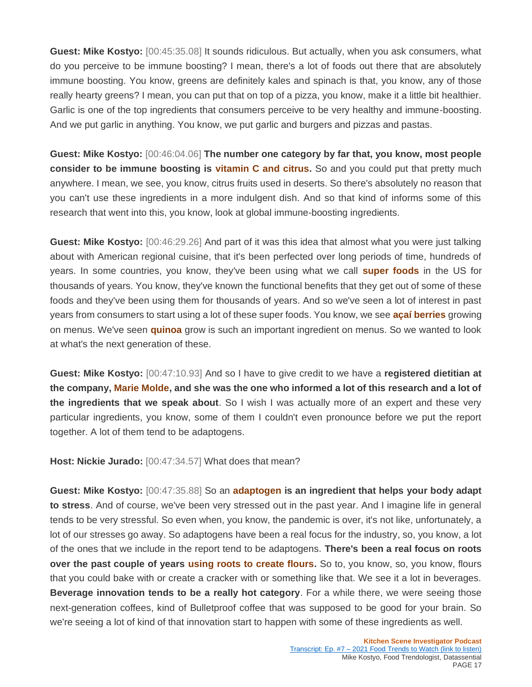**Guest: Mike Kostyo:** [00:45:35.08] It sounds ridiculous. But actually, when you ask consumers, what do you perceive to be immune boosting? I mean, there's a lot of foods out there that are absolutely immune boosting. You know, greens are definitely kales and spinach is that, you know, any of those really hearty greens? I mean, you can put that on top of a pizza, you know, make it a little bit healthier. Garlic is one of the top ingredients that consumers perceive to be very healthy and immune-boosting. And we put garlic in anything. You know, we put garlic and burgers and pizzas and pastas.

**Guest: Mike Kostyo:** [00:46:04.06] **The number one category by far that, you know, most people consider to be immune boosting is vitamin C and citrus.** So and you could put that pretty much anywhere. I mean, we see, you know, citrus fruits used in deserts. So there's absolutely no reason that you can't use these ingredients in a more indulgent dish. And so that kind of informs some of this research that went into this, you know, look at global immune-boosting ingredients.

**Guest: Mike Kostyo:** [00:46:29.26] And part of it was this idea that almost what you were just talking about with American regional cuisine, that it's been perfected over long periods of time, hundreds of years. In some countries, you know, they've been using what we call **super foods** in the US for thousands of years. You know, they've known the functional benefits that they get out of some of these foods and they've been using them for thousands of years. And so we've seen a lot of interest in past years from consumers to start using a lot of these super foods. You know, we see **açaí berries** growing on menus. We've seen **quinoa** grow is such an important ingredient on menus. So we wanted to look at what's the next generation of these.

**Guest: Mike Kostyo:** [00:47:10.93] And so I have to give credit to we have a **registered dietitian at the company, Marie Molde, and she was the one who informed a lot of this research and a lot of the ingredients that we speak about**. So I wish I was actually more of an expert and these very particular ingredients, you know, some of them I couldn't even pronounce before we put the report together. A lot of them tend to be adaptogens.

**Host: Nickie Jurado:** [00:47:34.57] What does that mean?

**Guest: Mike Kostyo:** [00:47:35.88] So an **adaptogen is an ingredient that helps your body adapt to stress**. And of course, we've been very stressed out in the past year. And I imagine life in general tends to be very stressful. So even when, you know, the pandemic is over, it's not like, unfortunately, a lot of our stresses go away. So adaptogens have been a real focus for the industry, so, you know, a lot of the ones that we include in the report tend to be adaptogens. **There's been a real focus on roots over the past couple of years using roots to create flours.** So to, you know, so, you know, flours that you could bake with or create a cracker with or something like that. We see it a lot in beverages. **Beverage innovation tends to be a really hot category**. For a while there, we were seeing those next-generation coffees, kind of Bulletproof coffee that was supposed to be good for your brain. So we're seeing a lot of kind of that innovation start to happen with some of these ingredients as well.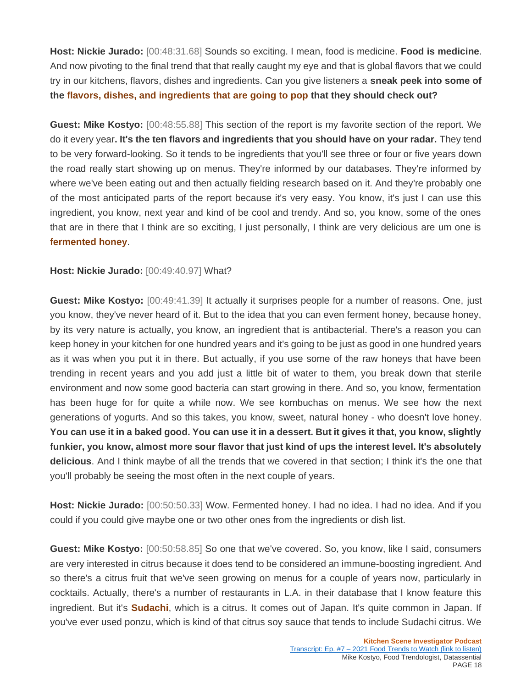**Host: Nickie Jurado:** [00:48:31.68] Sounds so exciting. I mean, food is medicine. **Food is medicine**. And now pivoting to the final trend that that really caught my eye and that is global flavors that we could try in our kitchens, flavors, dishes and ingredients. Can you give listeners a **sneak peek into some of the flavors, dishes, and ingredients that are going to pop that they should check out?**

**Guest: Mike Kostyo:** [00:48:55.88] This section of the report is my favorite section of the report. We do it every year**. It's the ten flavors and ingredients that you should have on your radar.** They tend to be very forward-looking. So it tends to be ingredients that you'll see three or four or five years down the road really start showing up on menus. They're informed by our databases. They're informed by where we've been eating out and then actually fielding research based on it. And they're probably one of the most anticipated parts of the report because it's very easy. You know, it's just I can use this ingredient, you know, next year and kind of be cool and trendy. And so, you know, some of the ones that are in there that I think are so exciting, I just personally, I think are very delicious are um one is **fermented honey**.

#### **Host: Nickie Jurado:** [00:49:40.97] What?

**Guest: Mike Kostyo:** [00:49:41.39] It actually it surprises people for a number of reasons. One, just you know, they've never heard of it. But to the idea that you can even ferment honey, because honey, by its very nature is actually, you know, an ingredient that is antibacterial. There's a reason you can keep honey in your kitchen for one hundred years and it's going to be just as good in one hundred years as it was when you put it in there. But actually, if you use some of the raw honeys that have been trending in recent years and you add just a little bit of water to them, you break down that sterile environment and now some good bacteria can start growing in there. And so, you know, fermentation has been huge for for quite a while now. We see kombuchas on menus. We see how the next generations of yogurts. And so this takes, you know, sweet, natural honey - who doesn't love honey. **You can use it in a baked good. You can use it in a dessert. But it gives it that, you know, slightly funkier, you know, almost more sour flavor that just kind of ups the interest level. It's absolutely delicious**. And I think maybe of all the trends that we covered in that section; I think it's the one that you'll probably be seeing the most often in the next couple of years.

**Host: Nickie Jurado:** [00:50:50.33] Wow. Fermented honey. I had no idea. I had no idea. And if you could if you could give maybe one or two other ones from the ingredients or dish list.

**Guest: Mike Kostyo:** [00:50:58.85] So one that we've covered. So, you know, like I said, consumers are very interested in citrus because it does tend to be considered an immune-boosting ingredient. And so there's a citrus fruit that we've seen growing on menus for a couple of years now, particularly in cocktails. Actually, there's a number of restaurants in L.A. in their database that I know feature this ingredient. But it's **Sudachi**, which is a citrus. It comes out of Japan. It's quite common in Japan. If you've ever used ponzu, which is kind of that citrus soy sauce that tends to include Sudachi citrus. We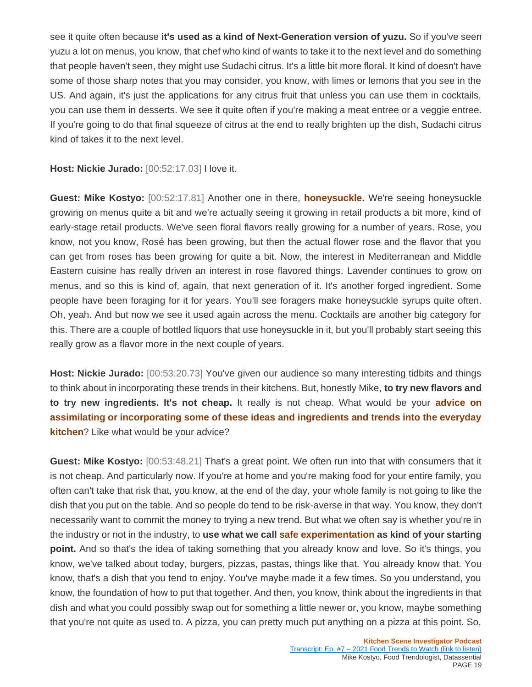see it quite often because **it's used as a kind of Next-Generation version of yuzu.** So if you've seen yuzu a lot on menus, you know, that chef who kind of wants to take it to the next level and do something that people haven't seen, they might use Sudachi citrus. It's a little bit more floral. It kind of doesn't have some of those sharp notes that you may consider, you know, with limes or lemons that you see in the US. And again, it's just the applications for any citrus fruit that unless you can use them in cocktails, you can use them in desserts. We see it quite often if you're making a meat entree or a veggie entree. If you're going to do that final squeeze of citrus at the end to really brighten up the dish, Sudachi citrus kind of takes it to the next level.

**Host: Nickie Jurado:** [00:52:17.03] I love it.

**Guest: Mike Kostyo:** [00:52:17.81] Another one in there, **honeysuckle.** We're seeing honeysuckle growing on menus quite a bit and we're actually seeing it growing in retail products a bit more, kind of early-stage retail products. We've seen floral flavors really growing for a number of years. Rose, you know, not you know, Rosé has been growing, but then the actual flower rose and the flavor that you can get from roses has been growing for quite a bit. Now, the interest in Mediterranean and Middle Eastern cuisine has really driven an interest in rose flavored things. Lavender continues to grow on menus, and so this is kind of, again, that next generation of it. It's another forged ingredient. Some people have been foraging for it for years. You'll see foragers make honeysuckle syrups quite often. Oh, yeah. And but now we see it used again across the menu. Cocktails are another big category for this. There are a couple of bottled liquors that use honeysuckle in it, but you'll probably start seeing this really grow as a flavor more in the next couple of years.

**Host: Nickie Jurado:** [00:53:20.73] You've given our audience so many interesting tidbits and things to think about in incorporating these trends in their kitchens. But, honestly Mike, **to try new flavors and to try new ingredients. It's not cheap.** It really is not cheap. What would be your **advice on assimilating or incorporating some of these ideas and ingredients and trends into the everyday kitchen**? Like what would be your advice?

**Guest: Mike Kostyo:** [00:53:48.21] That's a great point. We often run into that with consumers that it is not cheap. And particularly now. If you're at home and you're making food for your entire family, you often can't take that risk that, you know, at the end of the day, your whole family is not going to like the dish that you put on the table. And so people do tend to be risk-averse in that way. You know, they don't necessarily want to commit the money to trying a new trend. But what we often say is whether you're in the industry or not in the industry, to **use what we call safe experimentation as kind of your starting point.** And so that's the idea of taking something that you already know and love. So it's things, you know, we've talked about today, burgers, pizzas, pastas, things like that. You already know that. You know, that's a dish that you tend to enjoy. You've maybe made it a few times. So you understand, you know, the foundation of how to put that together. And then, you know, think about the ingredients in that dish and what you could possibly swap out for something a little newer or, you know, maybe something that you're not quite as used to. A pizza, you can pretty much put anything on a pizza at this point. So,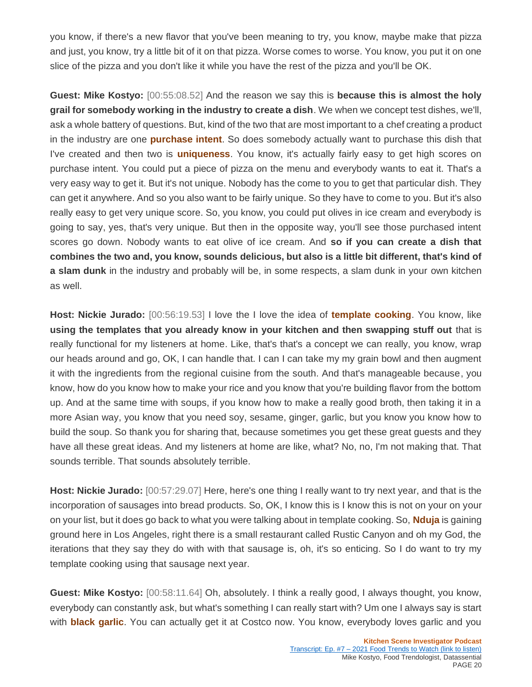you know, if there's a new flavor that you've been meaning to try, you know, maybe make that pizza and just, you know, try a little bit of it on that pizza. Worse comes to worse. You know, you put it on one slice of the pizza and you don't like it while you have the rest of the pizza and you'll be OK.

**Guest: Mike Kostyo:** [00:55:08.52] And the reason we say this is **because this is almost the holy grail for somebody working in the industry to create a dish**. We when we concept test dishes, we'll, ask a whole battery of questions. But, kind of the two that are most important to a chef creating a product in the industry are one **purchase intent**. So does somebody actually want to purchase this dish that I've created and then two is **uniqueness**. You know, it's actually fairly easy to get high scores on purchase intent. You could put a piece of pizza on the menu and everybody wants to eat it. That's a very easy way to get it. But it's not unique. Nobody has the come to you to get that particular dish. They can get it anywhere. And so you also want to be fairly unique. So they have to come to you. But it's also really easy to get very unique score. So, you know, you could put olives in ice cream and everybody is going to say, yes, that's very unique. But then in the opposite way, you'll see those purchased intent scores go down. Nobody wants to eat olive of ice cream. And **so if you can create a dish that combines the two and, you know, sounds delicious, but also is a little bit different, that's kind of a slam dunk** in the industry and probably will be, in some respects, a slam dunk in your own kitchen as well.

**Host: Nickie Jurado:** [00:56:19.53] I love the I love the idea of **template cooking**. You know, like **using the templates that you already know in your kitchen and then swapping stuff out** that is really functional for my listeners at home. Like, that's that's a concept we can really, you know, wrap our heads around and go, OK, I can handle that. I can I can take my my grain bowl and then augment it with the ingredients from the regional cuisine from the south. And that's manageable because, you know, how do you know how to make your rice and you know that you're building flavor from the bottom up. And at the same time with soups, if you know how to make a really good broth, then taking it in a more Asian way, you know that you need soy, sesame, ginger, garlic, but you know you know how to build the soup. So thank you for sharing that, because sometimes you get these great guests and they have all these great ideas. And my listeners at home are like, what? No, no, I'm not making that. That sounds terrible. That sounds absolutely terrible.

**Host: Nickie Jurado:** [00:57:29.07] Here, here's one thing I really want to try next year, and that is the incorporation of sausages into bread products. So, OK, I know this is I know this is not on your on your on your list, but it does go back to what you were talking about in template cooking. So, **Nduja** is gaining ground here in Los Angeles, right there is a small restaurant called Rustic Canyon and oh my God, the iterations that they say they do with with that sausage is, oh, it's so enticing. So I do want to try my template cooking using that sausage next year.

**Guest: Mike Kostyo:** [00:58:11.64] Oh, absolutely. I think a really good, I always thought, you know, everybody can constantly ask, but what's something I can really start with? Um one I always say is start with **black garlic**. You can actually get it at Costco now. You know, everybody loves garlic and you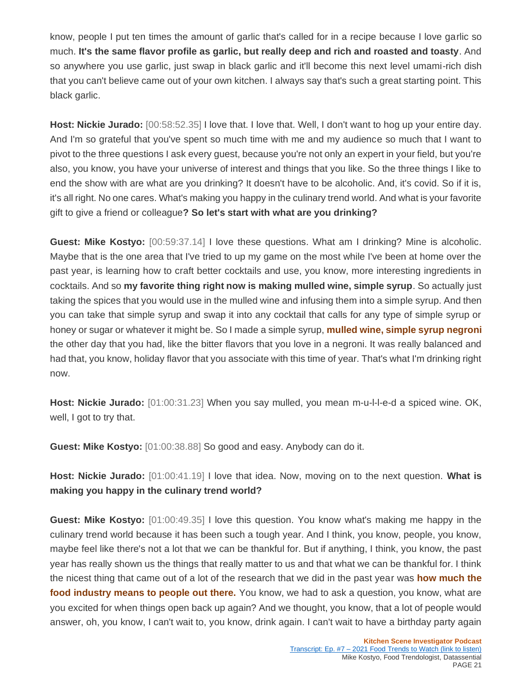know, people I put ten times the amount of garlic that's called for in a recipe because I love garlic so much. **It's the same flavor profile as garlic, but really deep and rich and roasted and toasty**. And so anywhere you use garlic, just swap in black garlic and it'll become this next level umami-rich dish that you can't believe came out of your own kitchen. I always say that's such a great starting point. This black garlic.

**Host: Nickie Jurado:** [00:58:52.35] I love that. I love that. Well, I don't want to hog up your entire day. And I'm so grateful that you've spent so much time with me and my audience so much that I want to pivot to the three questions I ask every guest, because you're not only an expert in your field, but you're also, you know, you have your universe of interest and things that you like. So the three things I like to end the show with are what are you drinking? It doesn't have to be alcoholic. And, it's covid. So if it is, it's all right. No one cares. What's making you happy in the culinary trend world. And what is your favorite gift to give a friend or colleague**? So let's start with what are you drinking?**

**Guest: Mike Kostyo:** [00:59:37.14] I love these questions. What am I drinking? Mine is alcoholic. Maybe that is the one area that I've tried to up my game on the most while I've been at home over the past year, is learning how to craft better cocktails and use, you know, more interesting ingredients in cocktails. And so **my favorite thing right now is making mulled wine, simple syrup**. So actually just taking the spices that you would use in the mulled wine and infusing them into a simple syrup. And then you can take that simple syrup and swap it into any cocktail that calls for any type of simple syrup or honey or sugar or whatever it might be. So I made a simple syrup, **mulled wine, simple syrup negroni** the other day that you had, like the bitter flavors that you love in a negroni. It was really balanced and had that, you know, holiday flavor that you associate with this time of year. That's what I'm drinking right now.

**Host: Nickie Jurado:** [01:00:31.23] When you say mulled, you mean m-u-l-l-e-d a spiced wine. OK, well, I got to try that.

**Guest: Mike Kostyo:** [01:00:38.88] So good and easy. Anybody can do it.

**Host: Nickie Jurado:** [01:00:41.19] I love that idea. Now, moving on to the next question. **What is making you happy in the culinary trend world?**

**Guest: Mike Kostyo:** [01:00:49.35] I love this question. You know what's making me happy in the culinary trend world because it has been such a tough year. And I think, you know, people, you know, maybe feel like there's not a lot that we can be thankful for. But if anything, I think, you know, the past year has really shown us the things that really matter to us and that what we can be thankful for. I think the nicest thing that came out of a lot of the research that we did in the past year was **how much the food industry means to people out there.** You know, we had to ask a question, you know, what are you excited for when things open back up again? And we thought, you know, that a lot of people would answer, oh, you know, I can't wait to, you know, drink again. I can't wait to have a birthday party again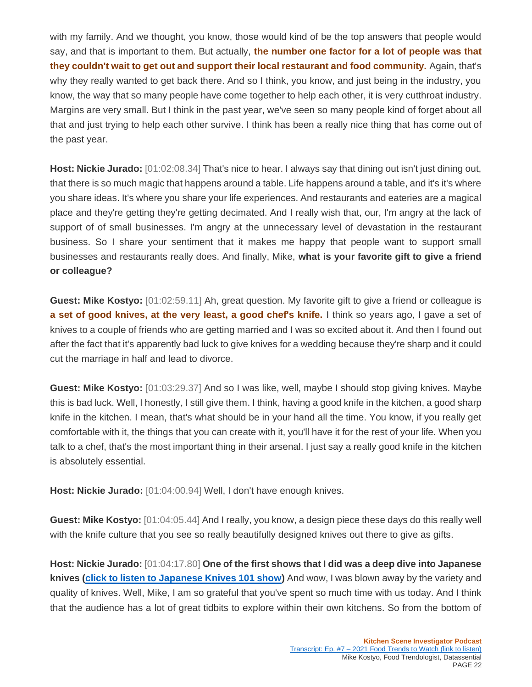with my family. And we thought, you know, those would kind of be the top answers that people would say, and that is important to them. But actually, **the number one factor for a lot of people was that they couldn't wait to get out and support their local restaurant and food community.** Again, that's why they really wanted to get back there. And so I think, you know, and just being in the industry, you know, the way that so many people have come together to help each other, it is very cutthroat industry. Margins are very small. But I think in the past year, we've seen so many people kind of forget about all that and just trying to help each other survive. I think has been a really nice thing that has come out of the past year.

**Host: Nickie Jurado:** [01:02:08.34] That's nice to hear. I always say that dining out isn't just dining out, that there is so much magic that happens around a table. Life happens around a table, and it's it's where you share ideas. It's where you share your life experiences. And restaurants and eateries are a magical place and they're getting they're getting decimated. And I really wish that, our, I'm angry at the lack of support of of small businesses. I'm angry at the unnecessary level of devastation in the restaurant business. So I share your sentiment that it makes me happy that people want to support small businesses and restaurants really does. And finally, Mike, **what is your favorite gift to give a friend or colleague?**

**Guest: Mike Kostyo:** [01:02:59.11] Ah, great question. My favorite gift to give a friend or colleague is **a set of good knives, at the very least, a good chef's knife.** I think so years ago, I gave a set of knives to a couple of friends who are getting married and I was so excited about it. And then I found out after the fact that it's apparently bad luck to give knives for a wedding because they're sharp and it could cut the marriage in half and lead to divorce.

**Guest: Mike Kostyo:** [01:03:29.37] And so I was like, well, maybe I should stop giving knives. Maybe this is bad luck. Well, I honestly, I still give them. I think, having a good knife in the kitchen, a good sharp knife in the kitchen. I mean, that's what should be in your hand all the time. You know, if you really get comfortable with it, the things that you can create with it, you'll have it for the rest of your life. When you talk to a chef, that's the most important thing in their arsenal. I just say a really good knife in the kitchen is absolutely essential.

**Host: Nickie Jurado:** [01:04:00.94] Well, I don't have enough knives.

**Guest: Mike Kostyo:** [01:04:05.44] And I really, you know, a design piece these days do this really well with the knife culture that you see so really beautifully designed knives out there to give as gifts.

**Host: Nickie Jurado:** [01:04:17.80] **One of the first shows that I did was a deep dive into Japanese knives [\(click to listen to Japanese Knives 101 show\)](https://mcdn.podbean.com/mf/web/w78xvz/EP_2_FINAL_JON_-JAPANESE_KNIVES_MP3.mp3)** And wow, I was blown away by the variety and quality of knives. Well, Mike, I am so grateful that you've spent so much time with us today. And I think that the audience has a lot of great tidbits to explore within their own kitchens. So from the bottom of